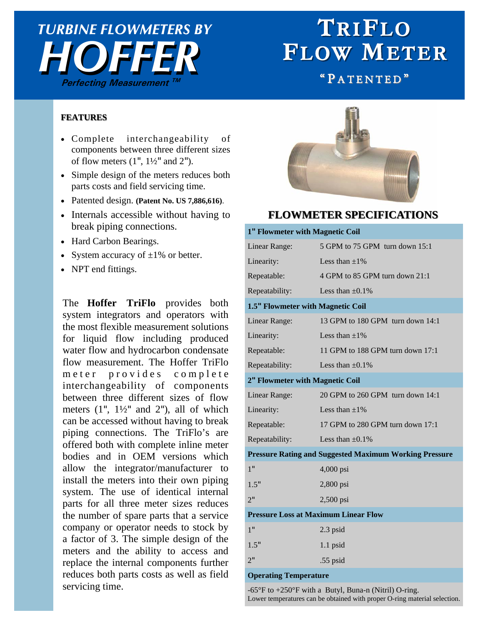## **HOFFER** *TURBINE FLOWMETERS BY*  **Perfecting Measurement TM**

# TRIFLO FLOW METER

" PATENTED"

#### **FEATURES FEATURES**

- Complete interchangeability of components between three different sizes of flow meters  $(1", 1\frac{1}{2}"$  and  $2"$ ).
- Simple design of the meters reduces both parts costs and field servicing time.
- Patented design. **(Patent No. US 7,886,616)**.
- Internals accessible without having to break piping connections.
- Hard Carbon Bearings.
- System accuracy of  $\pm 1\%$  or better.
- NPT end fittings.

The **Hoffer TriFlo** provides both system integrators and operators with the most flexible measurement solutions for liquid flow including produced water flow and hydrocarbon condensate flow measurement. The Hoffer TriFlo meter provides complete interchangeability of components between three different sizes of flow meters  $(1", 1\frac{1}{2}"$  and  $2"$ ), all of which can be accessed without having to break piping connections. The TriFlo's are offered both with complete inline meter bodies and in OEM versions which allow the integrator/manufacturer to install the meters into their own piping system. The use of identical internal parts for all three meter sizes reduces the number of spare parts that a service company or operator needs to stock by a factor of 3. The simple design of the meters and the ability to access and replace the internal components further reduces both parts costs as well as field servicing time.



### **FLOWMETER SPECIFICATIONS FLOWMETER**

#### **1" Flowmeter with Magnetic Coil**

| Linear Range:                               | 5 GPM to 75 GPM turn down 15:1                                |  |
|---------------------------------------------|---------------------------------------------------------------|--|
| Linearity:                                  | Less than $\pm 1\%$                                           |  |
| Repeatable:                                 | 4 GPM to 85 GPM turn down 21:1                                |  |
| Repeatability:                              | Less than $\pm 0.1\%$                                         |  |
| 1.5" Flowmeter with Magnetic Coil           |                                                               |  |
| Linear Range:                               | 13 GPM to 180 GPM turn down 14:1                              |  |
| Linearity:                                  | Less than $\pm 1\%$                                           |  |
| Repeatable:                                 | 11 GPM to 188 GPM turn down 17:1                              |  |
| Repeatability:                              | Less than $\pm 0.1\%$                                         |  |
| 2" Flowmeter with Magnetic Coil             |                                                               |  |
| Linear Range:                               | 20 GPM to 260 GPM turn down 14:1                              |  |
| Linearity:                                  | Less than $\pm 1\%$                                           |  |
| Repeatable:                                 | 17 GPM to 280 GPM turn down 17:1                              |  |
| Repeatability:                              | Less than $\pm 0.1\%$                                         |  |
|                                             | <b>Pressure Rating and Suggested Maximum Working Pressure</b> |  |
| 1 <sup>0</sup>                              | 4,000 psi                                                     |  |
| 1.5"                                        | 2,800 psi                                                     |  |
| 2 <sup>11</sup>                             | 2,500 psi                                                     |  |
| <b>Pressure Loss at Maximum Linear Flow</b> |                                                               |  |
| 1"                                          | 2.3 psid                                                      |  |
| 1.5"                                        | 1.1 psid                                                      |  |
| 2"                                          | .55 psid                                                      |  |
| <b>Operating Temperature</b>                |                                                               |  |

 $-65^{\circ}$ F to  $+250^{\circ}$ F with a Butyl, Buna-n (Nitril) O-ring. Lower temperatures can be obtained with proper O-ring material selection.